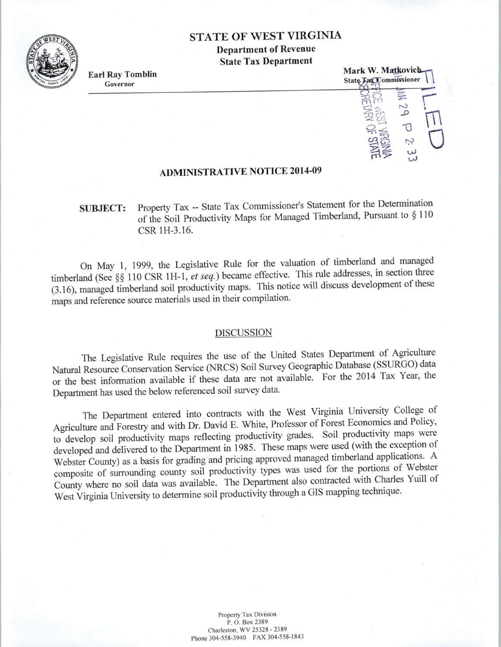## STATE OF WEST VIRGINIA

Department of Revenue State Tax Department



Earl Ray Tomblin Governor



### ADMINISTRATIVE NOTICE 2014-09

# SUBJECT: Property Tax -- State Tax Commissioner's Statement for the Determination of the Soil Productivity Maps for Managed Timberland, Pursuant to § 110 CSR lH-3.16.

On May 1, 1999, the Legislative Rule for the valuation of timberland and managed timberland (See§§ 110 CSR lH-1, *et seq.)* became effective. This rule addresses, in section three (3.16), managed timberland soil productivity maps. This notice will discuss development of these maps and reference source materials used in their compilation.

#### DISCUSSION

The Legislative Rule requires the use of the United States Department of Agriculture Natural Resource Conservation Service (NRCS) Soil Survey Geographic Database (SSURGO) data or the best information available if these data are not available. For the 2014 Tax Year, the Department has used the below referenced soil survey data.

The Department entered into contracts with the West Virginia University College of Agriculture and Forestry and with Dr. David E. White, Professor of Forest Economics and Policy, to develop soil productivity maps reflecting productivity grades. Soil productivity maps were developed and delivered to the Department in 1985. These maps were used (with the exception of Webster County) as a basis for grading and pricing approved managed timberland applications. A composite of surrounding county soil productivity types was used for the portions of Webster County where no soil data was available. The Department also contracted with Charles Yuill of West Virginia University to determine soil productivity through a GIS mapping technique.